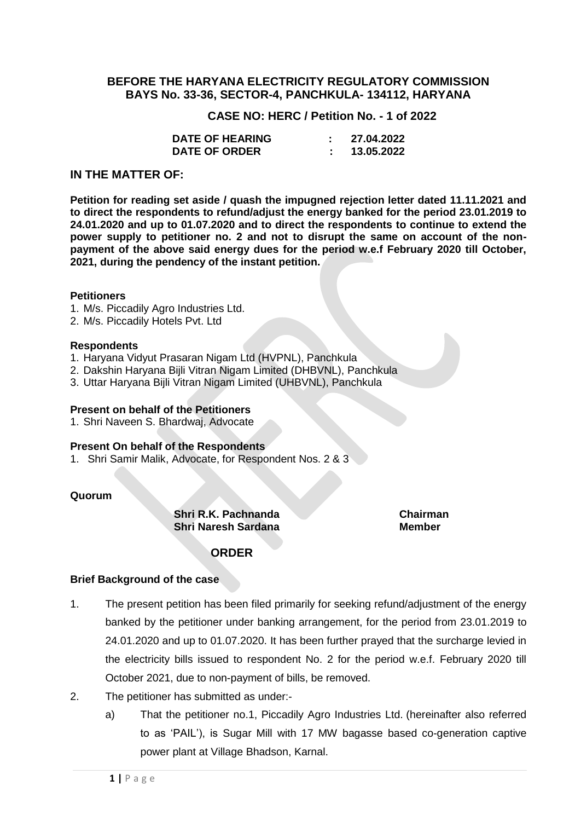## **BEFORE THE HARYANA ELECTRICITY REGULATORY COMMISSION BAYS No. 33-36, SECTOR-4, PANCHKULA- 134112, HARYANA**

 **CASE NO: HERC / Petition No. - 1 of 2022**

| <b>DATE OF HEARING</b> | 27.04.2022 |
|------------------------|------------|
| <b>DATE OF ORDER</b>   | 13.05.2022 |

## **IN THE MATTER OF:**

**Petition for reading set aside / quash the impugned rejection letter dated 11.11.2021 and to direct the respondents to refund/adjust the energy banked for the period 23.01.2019 to 24.01.2020 and up to 01.07.2020 and to direct the respondents to continue to extend the power supply to petitioner no. 2 and not to disrupt the same on account of the nonpayment of the above said energy dues for the period w.e.f February 2020 till October, 2021, during the pendency of the instant petition.**

#### **Petitioners**

- 1. M/s. Piccadily Agro Industries Ltd.
- 2. M/s. Piccadily Hotels Pvt. Ltd

#### **Respondents**

- 1. Haryana Vidyut Prasaran Nigam Ltd (HVPNL), Panchkula
- 2. Dakshin Haryana Bijli Vitran Nigam Limited (DHBVNL), Panchkula
- 3. Uttar Haryana Bijli Vitran Nigam Limited (UHBVNL), Panchkula

#### **Present on behalf of the Petitioners**

1. Shri Naveen S. Bhardwaj, Advocate

#### **Present On behalf of the Respondents**

1. Shri Samir Malik, Advocate, for Respondent Nos. 2 & 3

#### **Quorum**

**Shri R.K. Pachnanda Chairman Shri Naresh Sardana Member**

## **ORDER**

#### **Brief Background of the case**

- 1. The present petition has been filed primarily for seeking refund/adjustment of the energy banked by the petitioner under banking arrangement, for the period from 23.01.2019 to 24.01.2020 and up to 01.07.2020. It has been further prayed that the surcharge levied in the electricity bills issued to respondent No. 2 for the period w.e.f. February 2020 till October 2021, due to non-payment of bills, be removed.
- 2. The petitioner has submitted as under:
	- a) That the petitioner no.1, Piccadily Agro Industries Ltd. (hereinafter also referred to as 'PAIL'), is Sugar Mill with 17 MW bagasse based co-generation captive power plant at Village Bhadson, Karnal.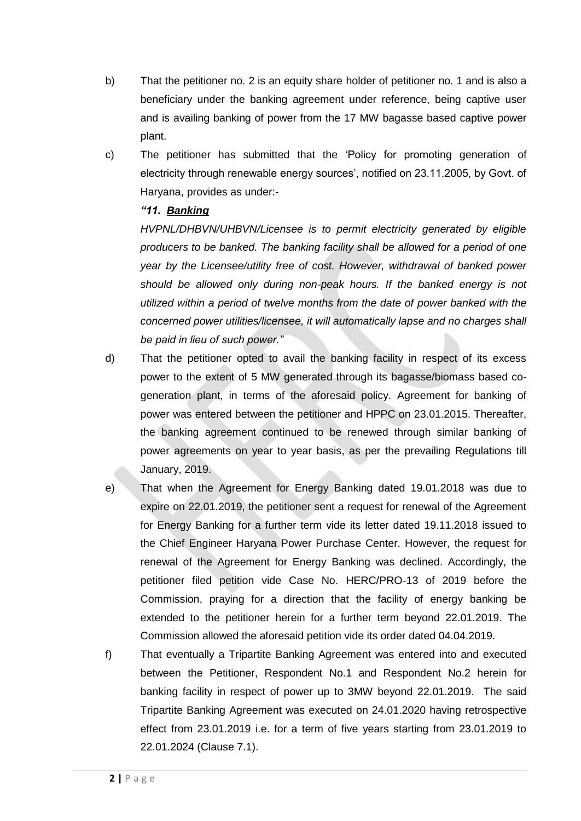- b) That the petitioner no. 2 is an equity share holder of petitioner no. 1 and is also a beneficiary under the banking agreement under reference, being captive user and is availing banking of power from the 17 MW bagasse based captive power plant.
- c) The petitioner has submitted that the 'Policy for promoting generation of electricity through renewable energy sources', notified on 23.11.2005, by Govt. of Haryana, provides as under:-

# *"11. Banking*

*HVPNL/DHBVN/UHBVN/Licensee is to permit electricity generated by eligible producers to be banked. The banking facility shall be allowed for a period of one year by the Licensee/utility free of cost. However, withdrawal of banked power should be allowed only during non-peak hours. If the banked energy is not utilized within a period of twelve months from the date of power banked with the concerned power utilities/licensee, it will automatically lapse and no charges shall be paid in lieu of such power."*

- d) That the petitioner opted to avail the banking facility in respect of its excess power to the extent of 5 MW generated through its bagasse/biomass based cogeneration plant, in terms of the aforesaid policy. Agreement for banking of power was entered between the petitioner and HPPC on 23.01.2015. Thereafter, the banking agreement continued to be renewed through similar banking of power agreements on year to year basis, as per the prevailing Regulations till January, 2019.
- e) That when the Agreement for Energy Banking dated 19.01.2018 was due to expire on 22.01.2019, the petitioner sent a request for renewal of the Agreement for Energy Banking for a further term vide its letter dated 19.11.2018 issued to the Chief Engineer Haryana Power Purchase Center. However, the request for renewal of the Agreement for Energy Banking was declined. Accordingly, the petitioner filed petition vide Case No. HERC/PRO-13 of 2019 before the Commission, praying for a direction that the facility of energy banking be extended to the petitioner herein for a further term beyond 22.01.2019. The Commission allowed the aforesaid petition vide its order dated 04.04.2019.
- f) That eventually a Tripartite Banking Agreement was entered into and executed between the Petitioner, Respondent No.1 and Respondent No.2 herein for banking facility in respect of power up to 3MW beyond 22.01.2019. The said Tripartite Banking Agreement was executed on 24.01.2020 having retrospective effect from 23.01.2019 i.e. for a term of five years starting from 23.01.2019 to 22.01.2024 (Clause 7.1).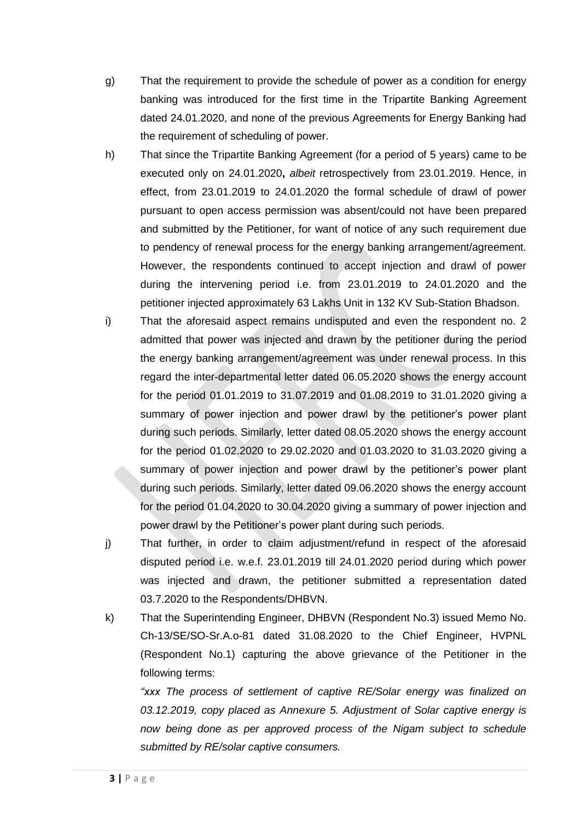- g) That the requirement to provide the schedule of power as a condition for energy banking was introduced for the first time in the Tripartite Banking Agreement dated 24.01.2020, and none of the previous Agreements for Energy Banking had the requirement of scheduling of power.
- h) That since the Tripartite Banking Agreement (for a period of 5 years) came to be executed only on 24.01.2020**,** *albeit* retrospectively from 23.01.2019. Hence, in effect, from 23.01.2019 to 24.01.2020 the formal schedule of drawl of power pursuant to open access permission was absent/could not have been prepared and submitted by the Petitioner, for want of notice of any such requirement due to pendency of renewal process for the energy banking arrangement/agreement. However, the respondents continued to accept injection and drawl of power during the intervening period i.e. from 23.01.2019 to 24.01.2020 and the petitioner injected approximately 63 Lakhs Unit in 132 KV Sub-Station Bhadson.
- i) That the aforesaid aspect remains undisputed and even the respondent no. 2 admitted that power was injected and drawn by the petitioner during the period the energy banking arrangement/agreement was under renewal process. In this regard the inter-departmental letter dated 06.05.2020 shows the energy account for the period 01.01.2019 to 31.07.2019 and 01.08.2019 to 31.01.2020 giving a summary of power injection and power drawl by the petitioner's power plant during such periods. Similarly, letter dated 08.05.2020 shows the energy account for the period 01.02.2020 to 29.02.2020 and 01.03.2020 to 31.03.2020 giving a summary of power injection and power drawl by the petitioner's power plant during such periods. Similarly, letter dated 09.06.2020 shows the energy account for the period 01.04.2020 to 30.04.2020 giving a summary of power injection and power drawl by the Petitioner's power plant during such periods.
- j) That further, in order to claim adjustment/refund in respect of the aforesaid disputed period i.e. w.e.f. 23.01.2019 till 24.01.2020 period during which power was injected and drawn, the petitioner submitted a representation dated 03.7.2020 to the Respondents/DHBVN.
- k) That the Superintending Engineer, DHBVN (Respondent No.3) issued Memo No. Ch-13/SE/SO-Sr.A.o-81 dated 31.08.2020 to the Chief Engineer, HVPNL (Respondent No.1) capturing the above grievance of the Petitioner in the following terms:

*"xxx The process of settlement of captive RE/Solar energy was finalized on 03.12.2019, copy placed as Annexure 5. Adjustment of Solar captive energy is now being done as per approved process of the Nigam subject to schedule submitted by RE/solar captive consumers.*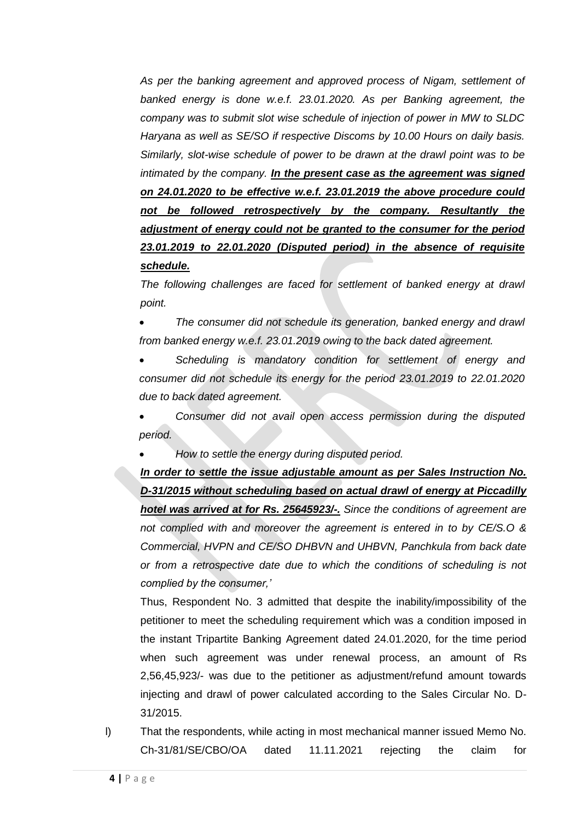*As per the banking agreement and approved process of Nigam, settlement of banked energy is done w.e.f. 23.01.2020. As per Banking agreement, the company was to submit slot wise schedule of injection of power in MW to SLDC Haryana as well as SE/SO if respective Discoms by 10.00 Hours on daily basis. Similarly, slot-wise schedule of power to be drawn at the drawl point was to be intimated by the company. In the present case as the agreement was signed on 24.01.2020 to be effective w.e.f. 23.01.2019 the above procedure could not be followed retrospectively by the company. Resultantly the adjustment of energy could not be granted to the consumer for the period 23.01.2019 to 22.01.2020 (Disputed period) in the absence of requisite schedule.*

The following challenges are faced for settlement of banked energy at drawl *point.*

• *The consumer did not schedule its generation, banked energy and drawl from banked energy w.e.f. 23.01.2019 owing to the back dated agreement.*

• *Scheduling is mandatory condition for settlement of energy and consumer did not schedule its energy for the period 23.01.2019 to 22.01.2020 due to back dated agreement.*

• *Consumer did not avail open access permission during the disputed period.*

• *How to settle the energy during disputed period.*

*In order to settle the issue adjustable amount as per Sales Instruction No. D-31/2015 without scheduling based on actual drawl of energy at Piccadilly hotel was arrived at for Rs. 25645923/-. Since the conditions of agreement are not complied with and moreover the agreement is entered in to by CE/S.O & Commercial, HVPN and CE/SO DHBVN and UHBVN, Panchkula from back date or from a retrospective date due to which the conditions of scheduling is not complied by the consumer,'*

Thus, Respondent No. 3 admitted that despite the inability/impossibility of the petitioner to meet the scheduling requirement which was a condition imposed in the instant Tripartite Banking Agreement dated 24.01.2020, for the time period when such agreement was under renewal process, an amount of Rs 2,56,45,923/- was due to the petitioner as adjustment/refund amount towards injecting and drawl of power calculated according to the Sales Circular No. D-31/2015.

l) That the respondents, while acting in most mechanical manner issued Memo No. Ch-31/81/SE/CBO/OA dated 11.11.2021 rejecting the claim for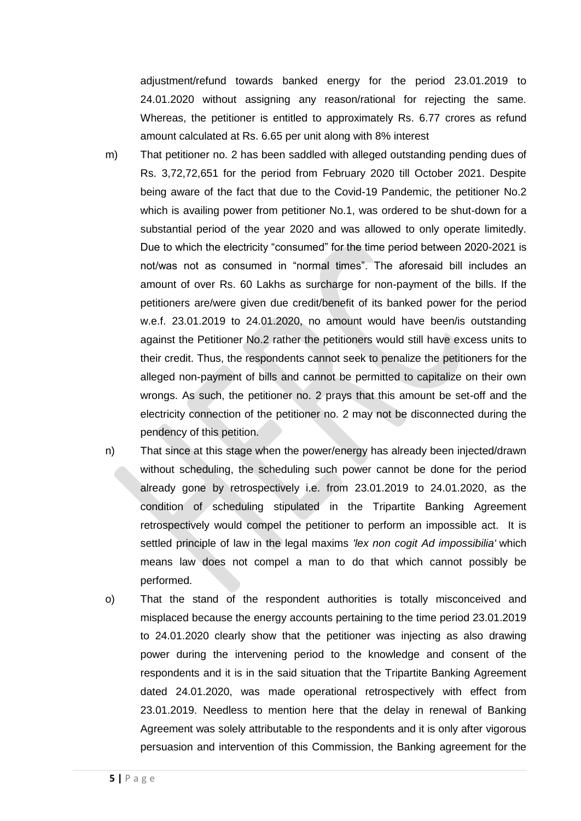adjustment/refund towards banked energy for the period 23.01.2019 to 24.01.2020 without assigning any reason/rational for rejecting the same. Whereas, the petitioner is entitled to approximately Rs. 6.77 crores as refund amount calculated at Rs. 6.65 per unit along with 8% interest

- m) That petitioner no. 2 has been saddled with alleged outstanding pending dues of Rs. 3,72,72,651 for the period from February 2020 till October 2021. Despite being aware of the fact that due to the Covid-19 Pandemic, the petitioner No.2 which is availing power from petitioner No.1, was ordered to be shut-down for a substantial period of the year 2020 and was allowed to only operate limitedly. Due to which the electricity "consumed" for the time period between 2020-2021 is not/was not as consumed in "normal times". The aforesaid bill includes an amount of over Rs. 60 Lakhs as surcharge for non-payment of the bills. If the petitioners are/were given due credit/benefit of its banked power for the period w.e.f. 23.01.2019 to 24.01.2020, no amount would have been/is outstanding against the Petitioner No.2 rather the petitioners would still have excess units to their credit. Thus, the respondents cannot seek to penalize the petitioners for the alleged non-payment of bills and cannot be permitted to capitalize on their own wrongs. As such, the petitioner no. 2 prays that this amount be set-off and the electricity connection of the petitioner no. 2 may not be disconnected during the pendency of this petition.
- n) That since at this stage when the power/energy has already been injected/drawn without scheduling, the scheduling such power cannot be done for the period already gone by retrospectively i.e. from 23.01.2019 to 24.01.2020, as the condition of scheduling stipulated in the Tripartite Banking Agreement retrospectively would compel the petitioner to perform an impossible act. It is settled principle of law in the legal maxims *'lex non cogit Ad impossibilia'* which means law does not compel a man to do that which cannot possibly be performed.
- o) That the stand of the respondent authorities is totally misconceived and misplaced because the energy accounts pertaining to the time period 23.01.2019 to 24.01.2020 clearly show that the petitioner was injecting as also drawing power during the intervening period to the knowledge and consent of the respondents and it is in the said situation that the Tripartite Banking Agreement dated 24.01.2020, was made operational retrospectively with effect from 23.01.2019. Needless to mention here that the delay in renewal of Banking Agreement was solely attributable to the respondents and it is only after vigorous persuasion and intervention of this Commission, the Banking agreement for the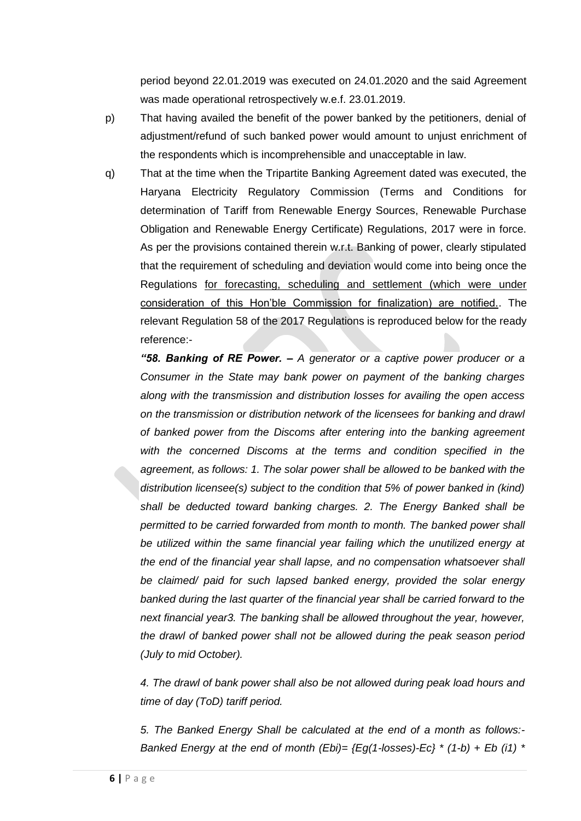period beyond 22.01.2019 was executed on 24.01.2020 and the said Agreement was made operational retrospectively w.e.f. 23.01.2019.

- p) That having availed the benefit of the power banked by the petitioners, denial of adjustment/refund of such banked power would amount to unjust enrichment of the respondents which is incomprehensible and unacceptable in law.
- q) That at the time when the Tripartite Banking Agreement dated was executed, the Haryana Electricity Regulatory Commission (Terms and Conditions for determination of Tariff from Renewable Energy Sources, Renewable Purchase Obligation and Renewable Energy Certificate) Regulations, 2017 were in force. As per the provisions contained therein w.r.t. Banking of power, clearly stipulated that the requirement of scheduling and deviation would come into being once the Regulations for forecasting, scheduling and settlement (which were under consideration of this Hon'ble Commission for finalization) are notified.. The relevant Regulation 58 of the 2017 Regulations is reproduced below for the ready reference:-

*"58. Banking of RE Power. – A generator or a captive power producer or a Consumer in the State may bank power on payment of the banking charges along with the transmission and distribution losses for availing the open access on the transmission or distribution network of the licensees for banking and drawl of banked power from the Discoms after entering into the banking agreement with the concerned Discoms at the terms and condition specified in the agreement, as follows: 1. The solar power shall be allowed to be banked with the distribution licensee(s) subject to the condition that 5% of power banked in (kind) shall be deducted toward banking charges. 2. The Energy Banked shall be permitted to be carried forwarded from month to month. The banked power shall be utilized within the same financial year failing which the unutilized energy at the end of the financial year shall lapse, and no compensation whatsoever shall be claimed/ paid for such lapsed banked energy, provided the solar energy banked during the last quarter of the financial year shall be carried forward to the next financial year3. The banking shall be allowed throughout the year, however, the drawl of banked power shall not be allowed during the peak season period (July to mid October).* 

*4. The drawl of bank power shall also be not allowed during peak load hours and time of day (ToD) tariff period.* 

*5. The Banked Energy Shall be calculated at the end of a month as follows:- Banked Energy at the end of month (Ebi)= {Eg(1-losses)-Ec} \* (1-b) + Eb (i1) \**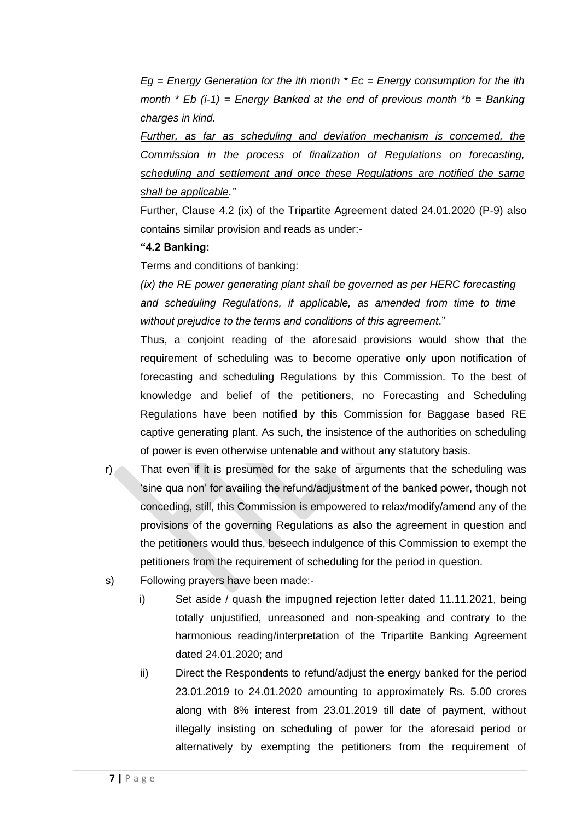*Eg = Energy Generation for the ith month \* Ec = Energy consumption for the ith month \* Eb (i-1) = Energy Banked at the end of previous month \*b = Banking charges in kind.* 

*Further, as far as scheduling and deviation mechanism is concerned, the Commission in the process of finalization of Regulations on forecasting, scheduling and settlement and once these Regulations are notified the same shall be applicable."*

Further, Clause 4.2 (ix) of the Tripartite Agreement dated 24.01.2020 (P-9) also contains similar provision and reads as under:-

## **"4.2 Banking:**

# Terms and conditions of banking:

*(ix) the RE power generating plant shall be governed as per HERC forecasting and scheduling Regulations, if applicable, as amended from time to time without prejudice to the terms and conditions of this agreement*."

Thus, a conjoint reading of the aforesaid provisions would show that the requirement of scheduling was to become operative only upon notification of forecasting and scheduling Regulations by this Commission. To the best of knowledge and belief of the petitioners, no Forecasting and Scheduling Regulations have been notified by this Commission for Baggase based RE captive generating plant. As such, the insistence of the authorities on scheduling of power is even otherwise untenable and without any statutory basis.

- r) That even if it is presumed for the sake of arguments that the scheduling was 'sine qua non' for availing the refund/adjustment of the banked power, though not conceding, still, this Commission is empowered to relax/modify/amend any of the provisions of the governing Regulations as also the agreement in question and the petitioners would thus, beseech indulgence of this Commission to exempt the petitioners from the requirement of scheduling for the period in question.
- s) Following prayers have been made:
	- i) Set aside / quash the impugned rejection letter dated 11.11.2021, being totally unjustified, unreasoned and non-speaking and contrary to the harmonious reading/interpretation of the Tripartite Banking Agreement dated 24.01.2020; and
	- ii) Direct the Respondents to refund/adjust the energy banked for the period 23.01.2019 to 24.01.2020 amounting to approximately Rs. 5.00 crores along with 8% interest from 23.01.2019 till date of payment, without illegally insisting on scheduling of power for the aforesaid period or alternatively by exempting the petitioners from the requirement of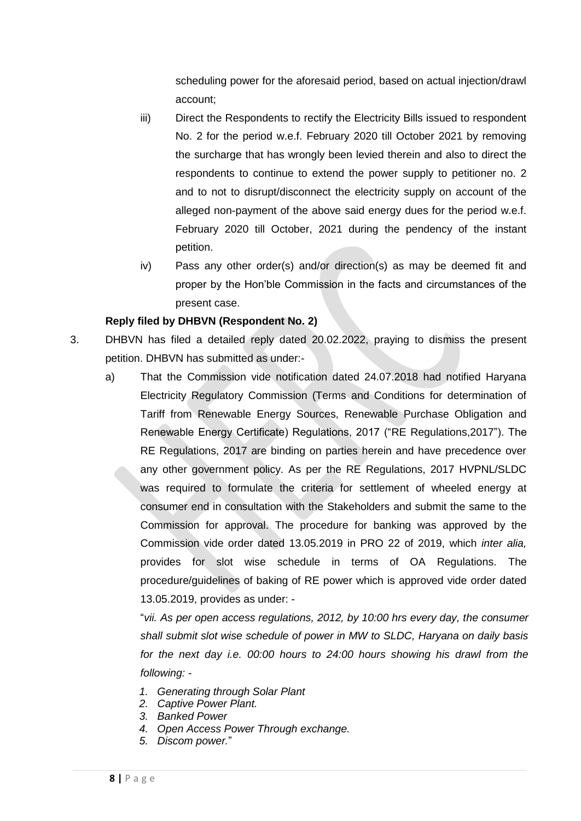scheduling power for the aforesaid period, based on actual injection/drawl account;

- iii) Direct the Respondents to rectify the Electricity Bills issued to respondent No. 2 for the period w.e.f. February 2020 till October 2021 by removing the surcharge that has wrongly been levied therein and also to direct the respondents to continue to extend the power supply to petitioner no. 2 and to not to disrupt/disconnect the electricity supply on account of the alleged non-payment of the above said energy dues for the period w.e.f. February 2020 till October, 2021 during the pendency of the instant petition.
- iv) Pass any other order(s) and/or direction(s) as may be deemed fit and proper by the Hon'ble Commission in the facts and circumstances of the present case.

# **Reply filed by DHBVN (Respondent No. 2)**

- 3. DHBVN has filed a detailed reply dated 20.02.2022, praying to dismiss the present petition. DHBVN has submitted as under:
	- a) That the Commission vide notification dated 24.07.2018 had notified Haryana Electricity Regulatory Commission (Terms and Conditions for determination of Tariff from Renewable Energy Sources, Renewable Purchase Obligation and Renewable Energy Certificate) Regulations, 2017 ("RE Regulations,2017"). The RE Regulations, 2017 are binding on parties herein and have precedence over any other government policy. As per the RE Regulations, 2017 HVPNL/SLDC was required to formulate the criteria for settlement of wheeled energy at consumer end in consultation with the Stakeholders and submit the same to the Commission for approval. The procedure for banking was approved by the Commission vide order dated 13.05.2019 in PRO 22 of 2019, which *inter alia,*  provides for slot wise schedule in terms of OA Regulations. The procedure/guidelines of baking of RE power which is approved vide order dated 13.05.2019, provides as under: -

"*vii. As per open access regulations, 2012, by 10:00 hrs every day, the consumer shall submit slot wise schedule of power in MW to SLDC, Haryana on daily basis for the next day i.e. 00:00 hours to 24:00 hours showing his drawl from the following: -*

- *1. Generating through Solar Plant*
- *2. Captive Power Plant.*
- *3. Banked Power*
- *4. Open Access Power Through exchange.*
- *5. Discom power.*"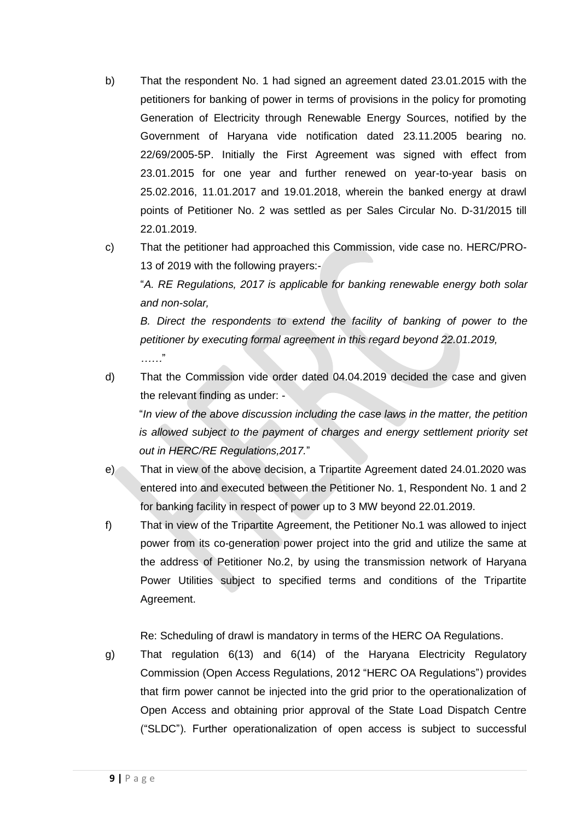- b) That the respondent No. 1 had signed an agreement dated 23.01.2015 with the petitioners for banking of power in terms of provisions in the policy for promoting Generation of Electricity through Renewable Energy Sources, notified by the Government of Haryana vide notification dated 23.11.2005 bearing no. 22/69/2005-5P. Initially the First Agreement was signed with effect from 23.01.2015 for one year and further renewed on year-to-year basis on 25.02.2016, 11.01.2017 and 19.01.2018, wherein the banked energy at drawl points of Petitioner No. 2 was settled as per Sales Circular No. D-31/2015 till 22.01.2019.
- c) That the petitioner had approached this Commission, vide case no. HERC/PRO-13 of 2019 with the following prayers:-

"*A. RE Regulations, 2017 is applicable for banking renewable energy both solar and non-solar,*

*B. Direct the respondents to extend the facility of banking of power to the petitioner by executing formal agreement in this regard beyond 22.01.2019, ……*"

d) That the Commission vide order dated 04.04.2019 decided the case and given the relevant finding as under: -

"*In view of the above discussion including the case laws in the matter, the petition is allowed subject to the payment of charges and energy settlement priority set out in HERC/RE Regulations,2017.*"

- e) That in view of the above decision, a Tripartite Agreement dated 24.01.2020 was entered into and executed between the Petitioner No. 1, Respondent No. 1 and 2 for banking facility in respect of power up to 3 MW beyond 22.01.2019.
- f) That in view of the Tripartite Agreement, the Petitioner No.1 was allowed to inject power from its co-generation power project into the grid and utilize the same at the address of Petitioner No.2, by using the transmission network of Haryana Power Utilities subject to specified terms and conditions of the Tripartite Agreement.

Re: Scheduling of drawl is mandatory in terms of the HERC OA Regulations.

g) That regulation 6(13) and 6(14) of the Haryana Electricity Regulatory Commission (Open Access Regulations, 2012 "HERC OA Regulations") provides that firm power cannot be injected into the grid prior to the operationalization of Open Access and obtaining prior approval of the State Load Dispatch Centre ("SLDC"). Further operationalization of open access is subject to successful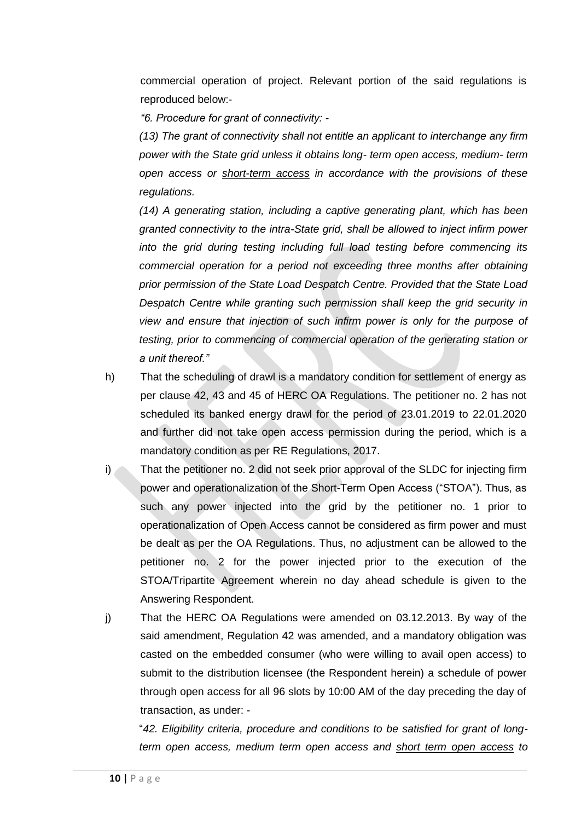commercial operation of project. Relevant portion of the said regulations is reproduced below:-

*"6. Procedure for grant of connectivity: -*

*(13) The grant of connectivity shall not entitle an applicant to interchange any firm power with the State grid unless it obtains long- term open access, medium- term open access or short-term access in accordance with the provisions of these regulations.* 

*(14) A generating station, including a captive generating plant, which has been granted connectivity to the intra-State grid, shall be allowed to inject infirm power into the grid during testing including full load testing before commencing its commercial operation for a period not exceeding three months after obtaining prior permission of the State Load Despatch Centre. Provided that the State Load Despatch Centre while granting such permission shall keep the grid security in view and ensure that injection of such infirm power is only for the purpose of testing, prior to commencing of commercial operation of the generating station or a unit thereof."*

- h) That the scheduling of drawl is a mandatory condition for settlement of energy as per clause 42, 43 and 45 of HERC OA Regulations. The petitioner no. 2 has not scheduled its banked energy drawl for the period of 23.01.2019 to 22.01.2020 and further did not take open access permission during the period, which is a mandatory condition as per RE Regulations, 2017.
- i) That the petitioner no. 2 did not seek prior approval of the SLDC for injecting firm power and operationalization of the Short-Term Open Access ("STOA"). Thus, as such any power injected into the grid by the petitioner no. 1 prior to operationalization of Open Access cannot be considered as firm power and must be dealt as per the OA Regulations. Thus, no adjustment can be allowed to the petitioner no. 2 for the power injected prior to the execution of the STOA/Tripartite Agreement wherein no day ahead schedule is given to the Answering Respondent.
- j) That the HERC OA Regulations were amended on 03.12.2013. By way of the said amendment, Regulation 42 was amended, and a mandatory obligation was casted on the embedded consumer (who were willing to avail open access) to submit to the distribution licensee (the Respondent herein) a schedule of power through open access for all 96 slots by 10:00 AM of the day preceding the day of transaction, as under: -

"*42. Eligibility criteria, procedure and conditions to be satisfied for grant of longterm open access, medium term open access and short term open access to*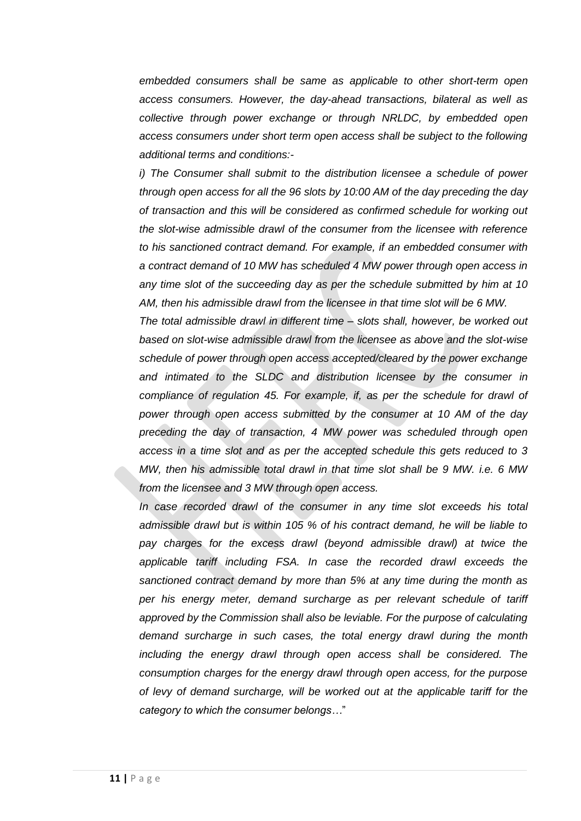*embedded consumers shall be same as applicable to other short-term open access consumers. However, the day-ahead transactions, bilateral as well as collective through power exchange or through NRLDC, by embedded open access consumers under short term open access shall be subject to the following additional terms and conditions:-*

*i) The Consumer shall submit to the distribution licensee a schedule of power through open access for all the 96 slots by 10:00 AM of the day preceding the day of transaction and this will be considered as confirmed schedule for working out the slot-wise admissible drawl of the consumer from the licensee with reference to his sanctioned contract demand. For example, if an embedded consumer with a contract demand of 10 MW has scheduled 4 MW power through open access in any time slot of the succeeding day as per the schedule submitted by him at 10 AM, then his admissible drawl from the licensee in that time slot will be 6 MW.*

*The total admissible drawl in different time – slots shall, however, be worked out based on slot-wise admissible drawl from the licensee as above and the slot-wise schedule of power through open access accepted/cleared by the power exchange and intimated to the SLDC and distribution licensee by the consumer in compliance of regulation 45. For example, if, as per the schedule for drawl of power through open access submitted by the consumer at 10 AM of the day preceding the day of transaction, 4 MW power was scheduled through open access in a time slot and as per the accepted schedule this gets reduced to 3 MW, then his admissible total drawl in that time slot shall be 9 MW. i.e. 6 MW from the licensee and 3 MW through open access.* 

*In case recorded drawl of the consumer in any time slot exceeds his total admissible drawl but is within 105 % of his contract demand, he will be liable to pay charges for the excess drawl (beyond admissible drawl) at twice the applicable tariff including FSA. In case the recorded drawl exceeds the sanctioned contract demand by more than 5% at any time during the month as per his energy meter, demand surcharge as per relevant schedule of tariff approved by the Commission shall also be leviable. For the purpose of calculating demand surcharge in such cases, the total energy drawl during the month*  including the energy drawl through open access shall be considered. The *consumption charges for the energy drawl through open access, for the purpose of levy of demand surcharge, will be worked out at the applicable tariff for the category to which the consumer belongs…*"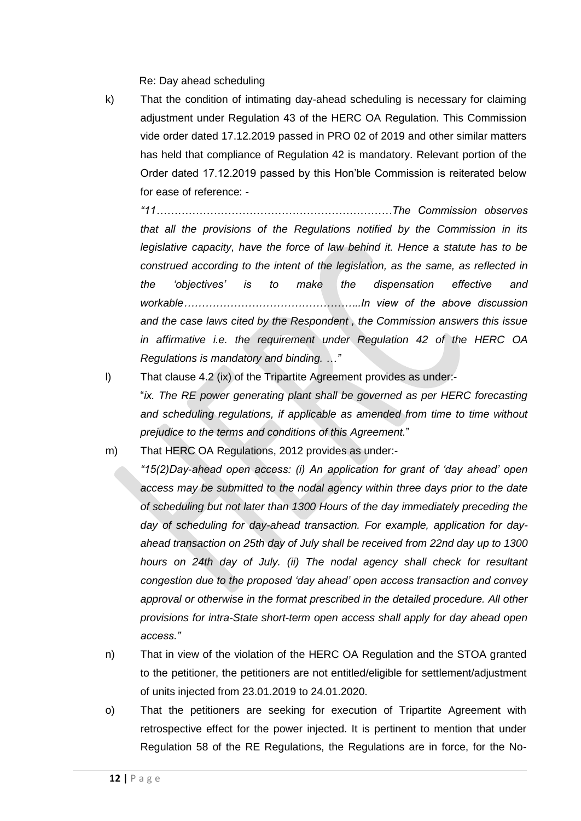Re: Day ahead scheduling

k) That the condition of intimating day-ahead scheduling is necessary for claiming adjustment under Regulation 43 of the HERC OA Regulation. This Commission vide order dated 17.12.2019 passed in PRO 02 of 2019 and other similar matters has held that compliance of Regulation 42 is mandatory. Relevant portion of the Order dated 17.12.2019 passed by this Hon'ble Commission is reiterated below for ease of reference: -

*"11…………………………………………………………The Commission observes that all the provisions of the Regulations notified by the Commission in its legislative capacity, have the force of law behind it. Hence a statute has to be construed according to the intent of the legislation, as the same, as reflected in the 'objectives' is to make the dispensation effective and workable…………………………………………..In view of the above discussion and the case laws cited by the Respondent , the Commission answers this issue in affirmative i.e. the requirement under Regulation 42 of the HERC OA Regulations is mandatory and binding. …"*

l) That clause 4.2 (ix) of the Tripartite Agreement provides as under:-

"*ix. The RE power generating plant shall be governed as per HERC forecasting and scheduling regulations, if applicable as amended from time to time without prejudice to the terms and conditions of this Agreement.*"

m) That HERC OA Regulations, 2012 provides as under:-

- *"15(2)Day-ahead open access: (i) An application for grant of 'day ahead' open access may be submitted to the nodal agency within three days prior to the date of scheduling but not later than 1300 Hours of the day immediately preceding the day of scheduling for day-ahead transaction. For example, application for dayahead transaction on 25th day of July shall be received from 22nd day up to 1300 hours on 24th day of July. (ii) The nodal agency shall check for resultant congestion due to the proposed 'day ahead' open access transaction and convey approval or otherwise in the format prescribed in the detailed procedure. All other provisions for intra-State short-term open access shall apply for day ahead open access."*
- n) That in view of the violation of the HERC OA Regulation and the STOA granted to the petitioner, the petitioners are not entitled/eligible for settlement/adjustment of units injected from 23.01.2019 to 24.01.2020.
- o) That the petitioners are seeking for execution of Tripartite Agreement with retrospective effect for the power injected. It is pertinent to mention that under Regulation 58 of the RE Regulations, the Regulations are in force, for the No-

**12 |** P a g e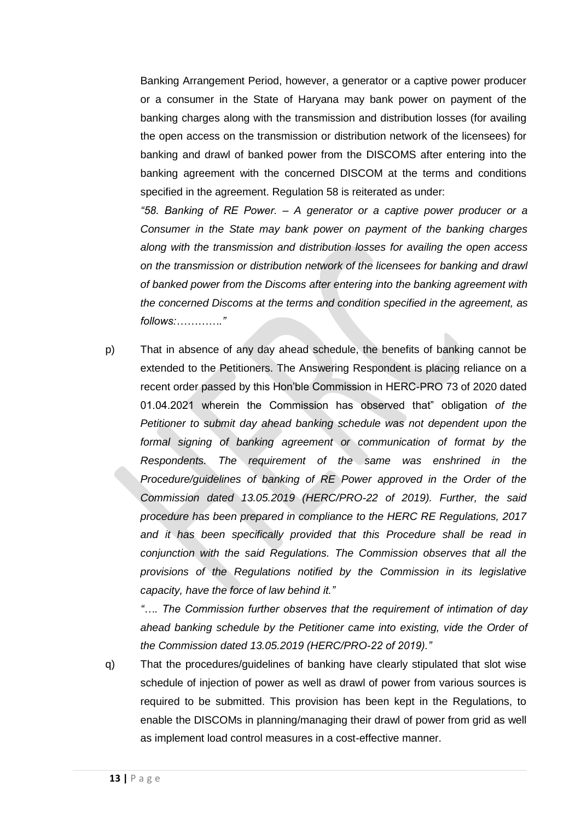Banking Arrangement Period, however, a generator or a captive power producer or a consumer in the State of Haryana may bank power on payment of the banking charges along with the transmission and distribution losses (for availing the open access on the transmission or distribution network of the licensees) for banking and drawl of banked power from the DISCOMS after entering into the banking agreement with the concerned DISCOM at the terms and conditions specified in the agreement. Regulation 58 is reiterated as under:

*"58. Banking of RE Power. – A generator or a captive power producer or a Consumer in the State may bank power on payment of the banking charges along with the transmission and distribution losses for availing the open access on the transmission or distribution network of the licensees for banking and drawl of banked power from the Discoms after entering into the banking agreement with the concerned Discoms at the terms and condition specified in the agreement, as follows:…………."*

p) That in absence of any day ahead schedule, the benefits of banking cannot be extended to the Petitioners. The Answering Respondent is placing reliance on a recent order passed by this Hon'ble Commission in HERC-PRO 73 of 2020 dated 01.04.2021 wherein the Commission has observed that" obligation *of the Petitioner to submit day ahead banking schedule was not dependent upon the formal signing of banking agreement or communication of format by the Respondents. The requirement of the same was enshrined in the Procedure/guidelines of banking of RE Power approved in the Order of the Commission dated 13.05.2019 (HERC/PRO-22 of 2019). Further, the said procedure has been prepared in compliance to the HERC RE Regulations, 2017 and it has been specifically provided that this Procedure shall be read in conjunction with the said Regulations. The Commission observes that all the provisions of the Regulations notified by the Commission in its legislative capacity, have the force of law behind it."* 

*"…. The Commission further observes that the requirement of intimation of day ahead banking schedule by the Petitioner came into existing, vide the Order of the Commission dated 13.05.2019 (HERC/PRO-22 of 2019)."*

q) That the procedures/guidelines of banking have clearly stipulated that slot wise schedule of injection of power as well as drawl of power from various sources is required to be submitted. This provision has been kept in the Regulations, to enable the DISCOMs in planning/managing their drawl of power from grid as well as implement load control measures in a cost-effective manner.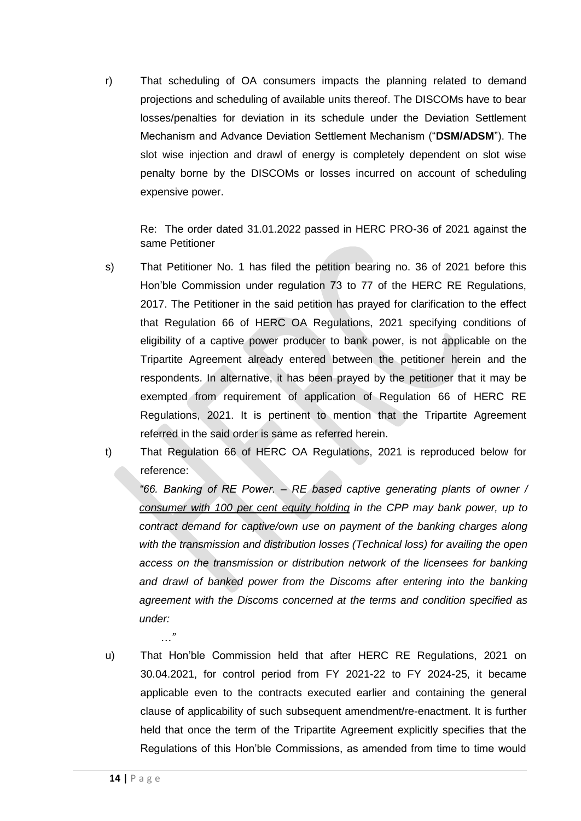r) That scheduling of OA consumers impacts the planning related to demand projections and scheduling of available units thereof. The DISCOMs have to bear losses/penalties for deviation in its schedule under the Deviation Settlement Mechanism and Advance Deviation Settlement Mechanism ("**DSM/ADSM**"). The slot wise injection and drawl of energy is completely dependent on slot wise penalty borne by the DISCOMs or losses incurred on account of scheduling expensive power.

Re: The order dated 31.01.2022 passed in HERC PRO-36 of 2021 against the same Petitioner

- s) That Petitioner No. 1 has filed the petition bearing no. 36 of 2021 before this Hon'ble Commission under regulation 73 to 77 of the HERC RE Regulations, 2017. The Petitioner in the said petition has prayed for clarification to the effect that Regulation 66 of HERC OA Regulations, 2021 specifying conditions of eligibility of a captive power producer to bank power, is not applicable on the Tripartite Agreement already entered between the petitioner herein and the respondents. In alternative, it has been prayed by the petitioner that it may be exempted from requirement of application of Regulation 66 of HERC RE Regulations, 2021. It is pertinent to mention that the Tripartite Agreement referred in the said order is same as referred herein.
- t) That Regulation 66 of HERC OA Regulations, 2021 is reproduced below for reference:

*"66. Banking of RE Power. – RE based captive generating plants of owner / consumer with 100 per cent equity holding in the CPP may bank power, up to contract demand for captive/own use on payment of the banking charges along with the transmission and distribution losses (Technical loss) for availing the open access on the transmission or distribution network of the licensees for banking*  and drawl of banked power from the Discoms after entering into the banking *agreement with the Discoms concerned at the terms and condition specified as under:*

u) That Hon'ble Commission held that after HERC RE Regulations, 2021 on 30.04.2021, for control period from FY 2021-22 to FY 2024-25, it became applicable even to the contracts executed earlier and containing the general clause of applicability of such subsequent amendment/re-enactment. It is further held that once the term of the Tripartite Agreement explicitly specifies that the Regulations of this Hon'ble Commissions, as amended from time to time would

*…"*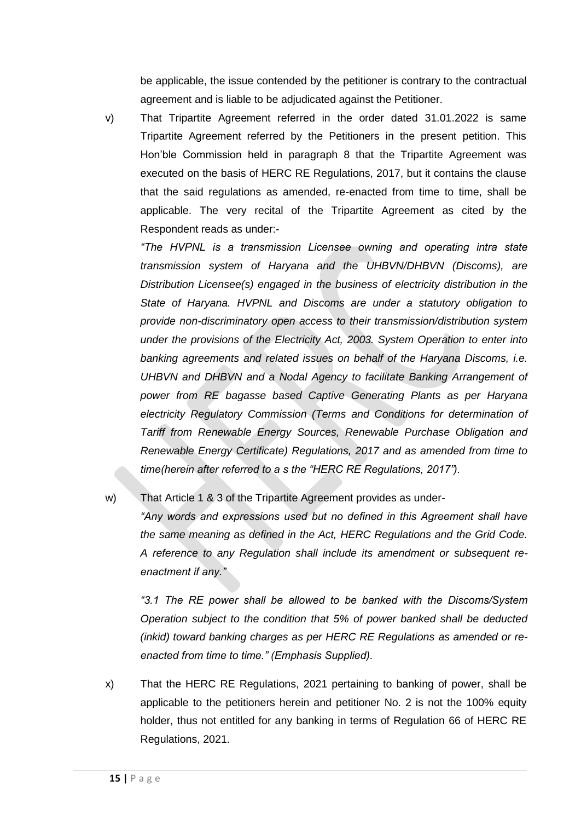be applicable, the issue contended by the petitioner is contrary to the contractual agreement and is liable to be adjudicated against the Petitioner.

v) That Tripartite Agreement referred in the order dated 31.01.2022 is same Tripartite Agreement referred by the Petitioners in the present petition. This Hon'ble Commission held in paragraph 8 that the Tripartite Agreement was executed on the basis of HERC RE Regulations, 2017, but it contains the clause that the said regulations as amended, re-enacted from time to time, shall be applicable. The very recital of the Tripartite Agreement as cited by the Respondent reads as under:-

*"The HVPNL is a transmission Licensee owning and operating intra state transmission system of Haryana and the UHBVN/DHBVN (Discoms), are Distribution Licensee(s) engaged in the business of electricity distribution in the State of Haryana. HVPNL and Discoms are under a statutory obligation to provide non-discriminatory open access to their transmission/distribution system under the provisions of the Electricity Act, 2003. System Operation to enter into banking agreements and related issues on behalf of the Haryana Discoms, i.e. UHBVN and DHBVN and a Nodal Agency to facilitate Banking Arrangement of power from RE bagasse based Captive Generating Plants as per Haryana electricity Regulatory Commission (Terms and Conditions for determination of Tariff from Renewable Energy Sources, Renewable Purchase Obligation and Renewable Energy Certificate) Regulations, 2017 and as amended from time to time(herein after referred to a s the "HERC RE Regulations, 2017").*

w) That Article 1 & 3 of the Tripartite Agreement provides as under-

*"Any words and expressions used but no defined in this Agreement shall have the same meaning as defined in the Act, HERC Regulations and the Grid Code. A reference to any Regulation shall include its amendment or subsequent reenactment if any."* 

*"3.1 The RE power shall be allowed to be banked with the Discoms/System Operation subject to the condition that 5% of power banked shall be deducted (inkid) toward banking charges as per HERC RE Regulations as amended or reenacted from time to time." (Emphasis Supplied).*

x) That the HERC RE Regulations, 2021 pertaining to banking of power, shall be applicable to the petitioners herein and petitioner No. 2 is not the 100% equity holder, thus not entitled for any banking in terms of Regulation 66 of HERC RE Regulations, 2021.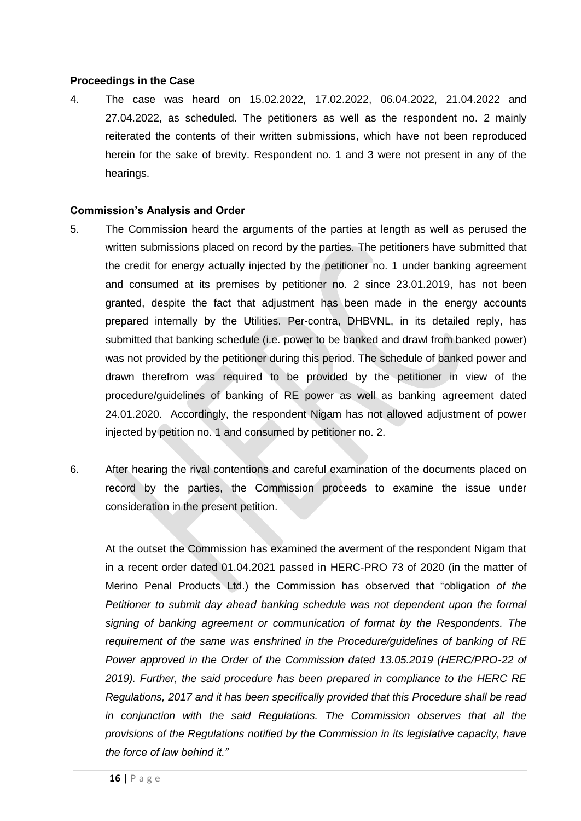## **Proceedings in the Case**

4. The case was heard on 15.02.2022, 17.02.2022, 06.04.2022, 21.04.2022 and 27.04.2022, as scheduled. The petitioners as well as the respondent no. 2 mainly reiterated the contents of their written submissions, which have not been reproduced herein for the sake of brevity. Respondent no. 1 and 3 were not present in any of the hearings.

## **Commission's Analysis and Order**

- 5. The Commission heard the arguments of the parties at length as well as perused the written submissions placed on record by the parties. The petitioners have submitted that the credit for energy actually injected by the petitioner no. 1 under banking agreement and consumed at its premises by petitioner no. 2 since 23.01.2019, has not been granted, despite the fact that adjustment has been made in the energy accounts prepared internally by the Utilities. Per-contra, DHBVNL, in its detailed reply, has submitted that banking schedule (i.e. power to be banked and drawl from banked power) was not provided by the petitioner during this period. The schedule of banked power and drawn therefrom was required to be provided by the petitioner in view of the procedure/guidelines of banking of RE power as well as banking agreement dated 24.01.2020. Accordingly, the respondent Nigam has not allowed adjustment of power injected by petition no. 1 and consumed by petitioner no. 2.
- 6. After hearing the rival contentions and careful examination of the documents placed on record by the parties, the Commission proceeds to examine the issue under consideration in the present petition.

At the outset the Commission has examined the averment of the respondent Nigam that in a recent order dated 01.04.2021 passed in HERC-PRO 73 of 2020 (in the matter of Merino Penal Products Ltd.) the Commission has observed that "obligation *of the Petitioner to submit day ahead banking schedule was not dependent upon the formal signing of banking agreement or communication of format by the Respondents. The requirement of the same was enshrined in the Procedure/guidelines of banking of RE Power approved in the Order of the Commission dated 13.05.2019 (HERC/PRO-22 of 2019). Further, the said procedure has been prepared in compliance to the HERC RE Regulations, 2017 and it has been specifically provided that this Procedure shall be read in conjunction with the said Regulations. The Commission observes that all the provisions of the Regulations notified by the Commission in its legislative capacity, have the force of law behind it."*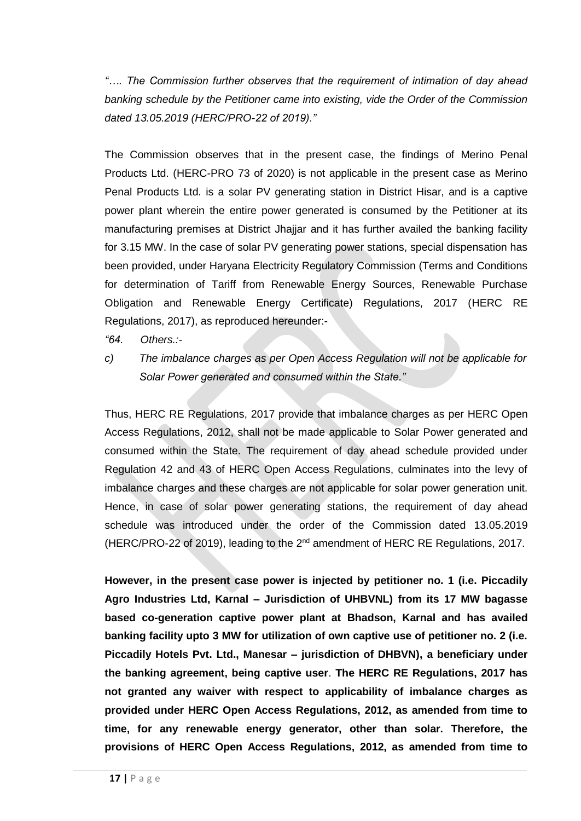*"…. The Commission further observes that the requirement of intimation of day ahead banking schedule by the Petitioner came into existing, vide the Order of the Commission dated 13.05.2019 (HERC/PRO-22 of 2019)."*

The Commission observes that in the present case, the findings of Merino Penal Products Ltd. (HERC-PRO 73 of 2020) is not applicable in the present case as Merino Penal Products Ltd. is a solar PV generating station in District Hisar, and is a captive power plant wherein the entire power generated is consumed by the Petitioner at its manufacturing premises at District Jhajjar and it has further availed the banking facility for 3.15 MW. In the case of solar PV generating power stations, special dispensation has been provided, under Haryana Electricity Regulatory Commission (Terms and Conditions for determination of Tariff from Renewable Energy Sources, Renewable Purchase Obligation and Renewable Energy Certificate) Regulations, 2017 (HERC RE Regulations, 2017), as reproduced hereunder:-

*"64. Others.:-*

*c) The imbalance charges as per Open Access Regulation will not be applicable for Solar Power generated and consumed within the State."*

Thus, HERC RE Regulations, 2017 provide that imbalance charges as per HERC Open Access Regulations, 2012, shall not be made applicable to Solar Power generated and consumed within the State. The requirement of day ahead schedule provided under Regulation 42 and 43 of HERC Open Access Regulations, culminates into the levy of imbalance charges and these charges are not applicable for solar power generation unit. Hence, in case of solar power generating stations, the requirement of day ahead schedule was introduced under the order of the Commission dated 13.05.2019 (HERC/PRO-22 of 2019), leading to the  $2^{nd}$  amendment of HERC RE Regulations, 2017.

**However, in the present case power is injected by petitioner no. 1 (i.e. Piccadily Agro Industries Ltd, Karnal – Jurisdiction of UHBVNL) from its 17 MW bagasse based co-generation captive power plant at Bhadson, Karnal and has availed banking facility upto 3 MW for utilization of own captive use of petitioner no. 2 (i.e. Piccadily Hotels Pvt. Ltd., Manesar – jurisdiction of DHBVN), a beneficiary under the banking agreement, being captive user**. **The HERC RE Regulations, 2017 has not granted any waiver with respect to applicability of imbalance charges as provided under HERC Open Access Regulations, 2012, as amended from time to time, for any renewable energy generator, other than solar. Therefore, the provisions of HERC Open Access Regulations, 2012, as amended from time to**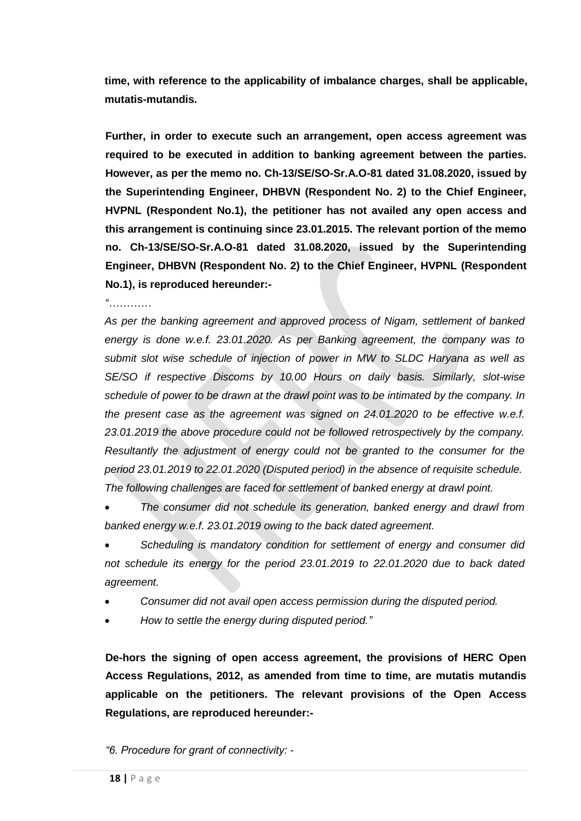**time, with reference to the applicability of imbalance charges, shall be applicable, mutatis-mutandis.**

**Further, in order to execute such an arrangement, open access agreement was required to be executed in addition to banking agreement between the parties. However, as per the memo no. Ch-13/SE/SO-Sr.A.O-81 dated 31.08.2020, issued by the Superintending Engineer, DHBVN (Respondent No. 2) to the Chief Engineer, HVPNL (Respondent No.1), the petitioner has not availed any open access and this arrangement is continuing since 23.01.2015. The relevant portion of the memo no. Ch-13/SE/SO-Sr.A.O-81 dated 31.08.2020, issued by the Superintending Engineer, DHBVN (Respondent No. 2) to the Chief Engineer, HVPNL (Respondent No.1), is reproduced hereunder:-**

*"…………*

*As per the banking agreement and approved process of Nigam, settlement of banked energy is done w.e.f. 23.01.2020. As per Banking agreement, the company was to submit slot wise schedule of injection of power in MW to SLDC Haryana as well as SE/SO if respective Discoms by 10.00 Hours on daily basis. Similarly, slot-wise schedule of power to be drawn at the drawl point was to be intimated by the company. In the present case as the agreement was signed on 24.01.2020 to be effective w.e.f. 23.01.2019 the above procedure could not be followed retrospectively by the company. Resultantly the adjustment of energy could not be granted to the consumer for the period 23.01.2019 to 22.01.2020 (Disputed period) in the absence of requisite schedule. The following challenges are faced for settlement of banked energy at drawl point.*

• *The consumer did not schedule its generation, banked energy and drawl from banked energy w.e.f. 23.01.2019 owing to the back dated agreement.*

• *Scheduling is mandatory condition for settlement of energy and consumer did not schedule its energy for the period 23.01.2019 to 22.01.2020 due to back dated agreement.*

- *Consumer did not avail open access permission during the disputed period.*
- *How to settle the energy during disputed period."*

**De-hors the signing of open access agreement, the provisions of HERC Open Access Regulations, 2012, as amended from time to time, are mutatis mutandis applicable on the petitioners. The relevant provisions of the Open Access Regulations, are reproduced hereunder:-**

*"6. Procedure for grant of connectivity: -*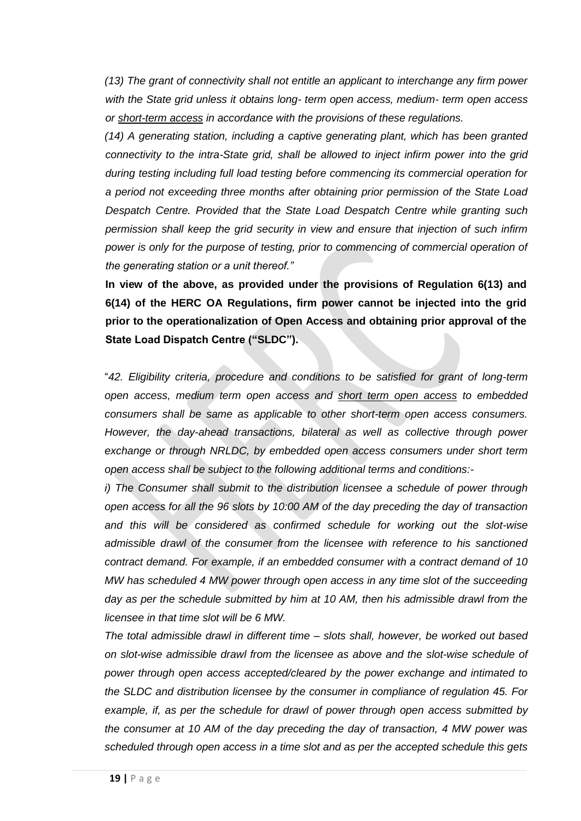*(13) The grant of connectivity shall not entitle an applicant to interchange any firm power with the State grid unless it obtains long- term open access, medium- term open access or short-term access in accordance with the provisions of these regulations.* 

*(14) A generating station, including a captive generating plant, which has been granted connectivity to the intra-State grid, shall be allowed to inject infirm power into the grid during testing including full load testing before commencing its commercial operation for a period not exceeding three months after obtaining prior permission of the State Load Despatch Centre. Provided that the State Load Despatch Centre while granting such permission shall keep the grid security in view and ensure that injection of such infirm power is only for the purpose of testing, prior to commencing of commercial operation of the generating station or a unit thereof."*

**In view of the above, as provided under the provisions of Regulation 6(13) and 6(14) of the HERC OA Regulations, firm power cannot be injected into the grid prior to the operationalization of Open Access and obtaining prior approval of the State Load Dispatch Centre ("SLDC").** 

"*42. Eligibility criteria, procedure and conditions to be satisfied for grant of long-term open access, medium term open access and short term open access to embedded consumers shall be same as applicable to other short-term open access consumers. However, the day-ahead transactions, bilateral as well as collective through power exchange or through NRLDC, by embedded open access consumers under short term open access shall be subject to the following additional terms and conditions:-*

*i) The Consumer shall submit to the distribution licensee a schedule of power through open access for all the 96 slots by 10:00 AM of the day preceding the day of transaction* and this will be considered as confirmed schedule for working out the slot-wise *admissible drawl of the consumer from the licensee with reference to his sanctioned contract demand. For example, if an embedded consumer with a contract demand of 10 MW has scheduled 4 MW power through open access in any time slot of the succeeding day as per the schedule submitted by him at 10 AM, then his admissible drawl from the licensee in that time slot will be 6 MW.*

*The total admissible drawl in different time – slots shall, however, be worked out based on slot-wise admissible drawl from the licensee as above and the slot-wise schedule of power through open access accepted/cleared by the power exchange and intimated to the SLDC and distribution licensee by the consumer in compliance of regulation 45. For example, if, as per the schedule for drawl of power through open access submitted by the consumer at 10 AM of the day preceding the day of transaction, 4 MW power was scheduled through open access in a time slot and as per the accepted schedule this gets*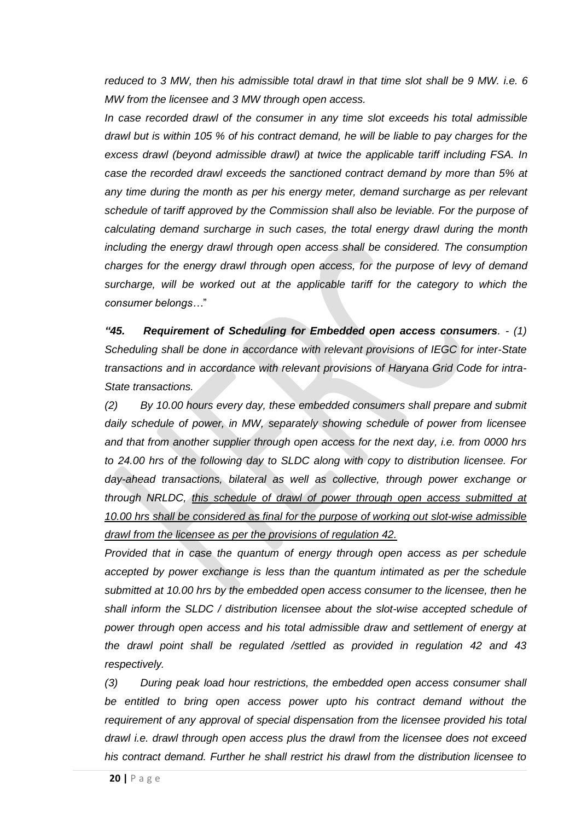*reduced to 3 MW, then his admissible total drawl in that time slot shall be 9 MW. i.e. 6 MW from the licensee and 3 MW through open access.* 

*In case recorded drawl of the consumer in any time slot exceeds his total admissible drawl but is within 105 % of his contract demand, he will be liable to pay charges for the excess drawl (beyond admissible drawl) at twice the applicable tariff including FSA. In case the recorded drawl exceeds the sanctioned contract demand by more than 5% at any time during the month as per his energy meter, demand surcharge as per relevant schedule of tariff approved by the Commission shall also be leviable. For the purpose of calculating demand surcharge in such cases, the total energy drawl during the month including the energy drawl through open access shall be considered. The consumption charges for the energy drawl through open access, for the purpose of levy of demand surcharge, will be worked out at the applicable tariff for the category to which the consumer belongs…*"

*"45. Requirement of Scheduling for Embedded open access consumers. - (1) Scheduling shall be done in accordance with relevant provisions of IEGC for inter-State transactions and in accordance with relevant provisions of Haryana Grid Code for intra-State transactions.* 

*(2) By 10.00 hours every day, these embedded consumers shall prepare and submit daily schedule of power, in MW, separately showing schedule of power from licensee and that from another supplier through open access for the next day, i.e. from 0000 hrs to 24.00 hrs of the following day to SLDC along with copy to distribution licensee. For day-ahead transactions, bilateral as well as collective, through power exchange or through NRLDC, this schedule of drawl of power through open access submitted at 10.00 hrs shall be considered as final for the purpose of working out slot-wise admissible drawl from the licensee as per the provisions of regulation 42.*

*Provided that in case the quantum of energy through open access as per schedule accepted by power exchange is less than the quantum intimated as per the schedule submitted at 10.00 hrs by the embedded open access consumer to the licensee, then he shall inform the SLDC / distribution licensee about the slot-wise accepted schedule of power through open access and his total admissible draw and settlement of energy at the drawl point shall be regulated /settled as provided in regulation 42 and 43 respectively.* 

*(3) During peak load hour restrictions, the embedded open access consumer shall*  be entitled to bring open access power upto his contract demand without the *requirement of any approval of special dispensation from the licensee provided his total drawl i.e. drawl through open access plus the drawl from the licensee does not exceed his contract demand. Further he shall restrict his drawl from the distribution licensee to*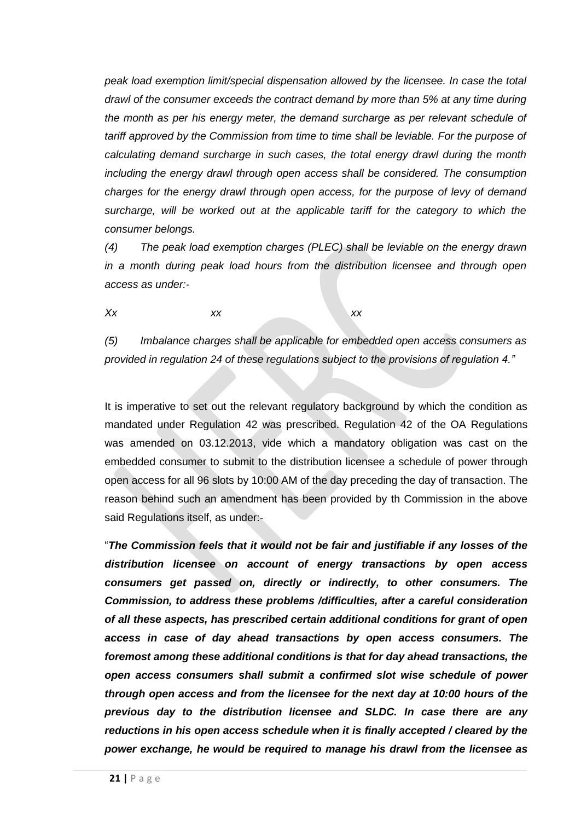*peak load exemption limit/special dispensation allowed by the licensee. In case the total drawl of the consumer exceeds the contract demand by more than 5% at any time during the month as per his energy meter, the demand surcharge as per relevant schedule of tariff approved by the Commission from time to time shall be leviable. For the purpose of calculating demand surcharge in such cases, the total energy drawl during the month including the energy drawl through open access shall be considered. The consumption charges for the energy drawl through open access, for the purpose of levy of demand surcharge, will be worked out at the applicable tariff for the category to which the consumer belongs.* 

*(4) The peak load exemption charges (PLEC) shall be leviable on the energy drawn in a month during peak load hours from the distribution licensee and through open access as under:-*

*Xx xx xx*

*(5) Imbalance charges shall be applicable for embedded open access consumers as provided in regulation 24 of these regulations subject to the provisions of regulation 4."*

It is imperative to set out the relevant regulatory background by which the condition as mandated under Regulation 42 was prescribed. Regulation 42 of the OA Regulations was amended on 03.12.2013, vide which a mandatory obligation was cast on the embedded consumer to submit to the distribution licensee a schedule of power through open access for all 96 slots by 10:00 AM of the day preceding the day of transaction. The reason behind such an amendment has been provided by th Commission in the above said Regulations itself, as under:-

"*The Commission feels that it would not be fair and justifiable if any losses of the distribution licensee on account of energy transactions by open access consumers get passed on, directly or indirectly, to other consumers. The Commission, to address these problems /difficulties, after a careful consideration of all these aspects, has prescribed certain additional conditions for grant of open access in case of day ahead transactions by open access consumers. The foremost among these additional conditions is that for day ahead transactions, the open access consumers shall submit a confirmed slot wise schedule of power through open access and from the licensee for the next day at 10:00 hours of the previous day to the distribution licensee and SLDC. In case there are any reductions in his open access schedule when it is finally accepted / cleared by the power exchange, he would be required to manage his drawl from the licensee as*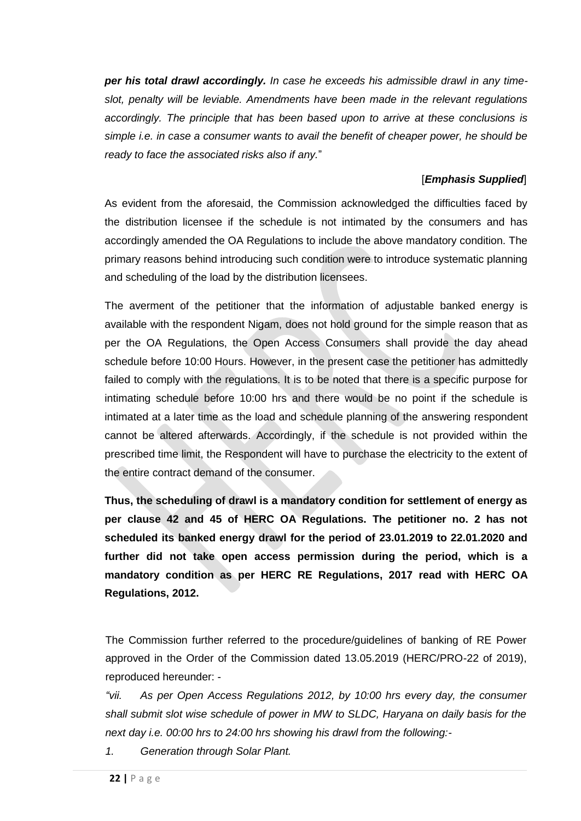*per his total drawl accordingly. In case he exceeds his admissible drawl in any timeslot, penalty will be leviable. Amendments have been made in the relevant regulations accordingly. The principle that has been based upon to arrive at these conclusions is simple i.e. in case a consumer wants to avail the benefit of cheaper power, he should be ready to face the associated risks also if any.*"

# [*Emphasis Supplied*]

As evident from the aforesaid, the Commission acknowledged the difficulties faced by the distribution licensee if the schedule is not intimated by the consumers and has accordingly amended the OA Regulations to include the above mandatory condition. The primary reasons behind introducing such condition were to introduce systematic planning and scheduling of the load by the distribution licensees.

The averment of the petitioner that the information of adjustable banked energy is available with the respondent Nigam, does not hold ground for the simple reason that as per the OA Regulations, the Open Access Consumers shall provide the day ahead schedule before 10:00 Hours. However, in the present case the petitioner has admittedly failed to comply with the regulations. It is to be noted that there is a specific purpose for intimating schedule before 10:00 hrs and there would be no point if the schedule is intimated at a later time as the load and schedule planning of the answering respondent cannot be altered afterwards. Accordingly, if the schedule is not provided within the prescribed time limit, the Respondent will have to purchase the electricity to the extent of the entire contract demand of the consumer.

**Thus, the scheduling of drawl is a mandatory condition for settlement of energy as per clause 42 and 45 of HERC OA Regulations. The petitioner no. 2 has not scheduled its banked energy drawl for the period of 23.01.2019 to 22.01.2020 and further did not take open access permission during the period, which is a mandatory condition as per HERC RE Regulations, 2017 read with HERC OA Regulations, 2012.**

The Commission further referred to the procedure/guidelines of banking of RE Power approved in the Order of the Commission dated 13.05.2019 (HERC/PRO-22 of 2019), reproduced hereunder: -

*"vii.* As per Open Access Regulations 2012, by 10:00 hrs every day, the consumer *shall submit slot wise schedule of power in MW to SLDC, Haryana on daily basis for the next day i.e. 00:00 hrs to 24:00 hrs showing his drawl from the following:-*

*1. Generation through Solar Plant.*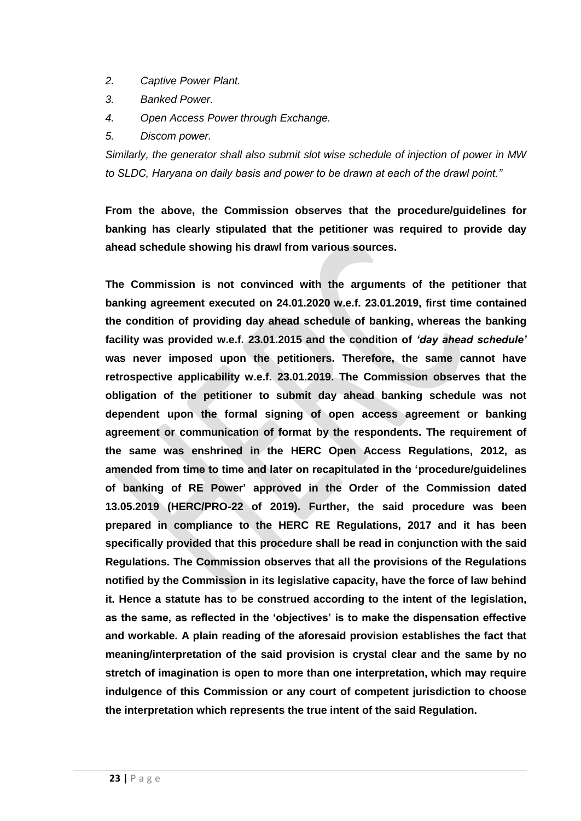- *2. Captive Power Plant.*
- *3. Banked Power.*
- *4. Open Access Power through Exchange.*
- *5. Discom power.*

*Similarly, the generator shall also submit slot wise schedule of injection of power in MW to SLDC, Haryana on daily basis and power to be drawn at each of the drawl point."*

**From the above, the Commission observes that the procedure/guidelines for banking has clearly stipulated that the petitioner was required to provide day ahead schedule showing his drawl from various sources.**

**The Commission is not convinced with the arguments of the petitioner that banking agreement executed on 24.01.2020 w.e.f. 23.01.2019, first time contained the condition of providing day ahead schedule of banking, whereas the banking facility was provided w.e.f. 23.01.2015 and the condition of** *'day ahead schedule'* **was never imposed upon the petitioners. Therefore, the same cannot have retrospective applicability w.e.f. 23.01.2019. The Commission observes that the obligation of the petitioner to submit day ahead banking schedule was not dependent upon the formal signing of open access agreement or banking agreement or communication of format by the respondents. The requirement of the same was enshrined in the HERC Open Access Regulations, 2012, as amended from time to time and later on recapitulated in the 'procedure/guidelines of banking of RE Power' approved in the Order of the Commission dated 13.05.2019 (HERC/PRO-22 of 2019). Further, the said procedure was been prepared in compliance to the HERC RE Regulations, 2017 and it has been specifically provided that this procedure shall be read in conjunction with the said Regulations. The Commission observes that all the provisions of the Regulations notified by the Commission in its legislative capacity, have the force of law behind it. Hence a statute has to be construed according to the intent of the legislation, as the same, as reflected in the 'objectives' is to make the dispensation effective and workable. A plain reading of the aforesaid provision establishes the fact that meaning/interpretation of the said provision is crystal clear and the same by no stretch of imagination is open to more than one interpretation, which may require indulgence of this Commission or any court of competent jurisdiction to choose the interpretation which represents the true intent of the said Regulation.**